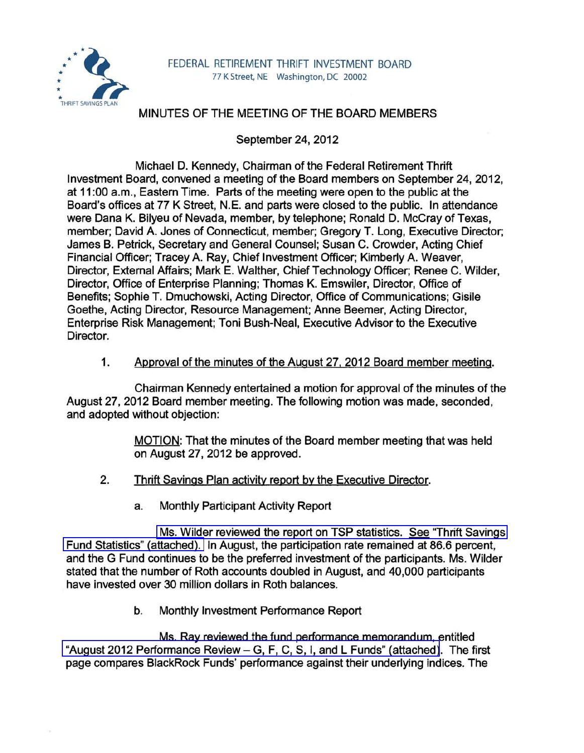

## MINUTES OF THE MEETING OF THE BOARD MEMBERS

September 24, 2012

Michael D. Kennedy, Chairman of the Federal Retirement Thrift Investment Board, convened a meeting of the Board members on September 24, 2012, at 11 :00 a.m., Eastern Time. Parts of the meeting were open to the public at the Board's offices at 77 K Street, N.E. and parts were closed to the public. In attendance were Dana K. Bilyeu of Nevada, member, by telephone; Ronald D. McCray of Texas, member; David A. Jones of Connecticut, member; Gregory T. Long, Executive Director; James B. Petrick, Secretary and General Counsel; Susan C. Crowder, Acting Chief Financial Officer; Tracey A. Ray, Chief Investment Officer; Kimberly A. Weaver, Director, External Affairs; Mark E. Walther, Chief Technology Officer; Renee C. Wilder, Director, Office of Enterprise Planning; Thomas K. Emswiler, Director, Office of Benefits; Sophie T. Dmuchowski, Acting Director, Office of Communications; Gisile Goethe, Acting Director, Resource Management; Anne Beemer, Acting Director, Enterprise Risk Management; Toni Bush-Neal, Executive Advisor to the Executive Director.

1. Approval of the minutes of the August 27, 2012 Board member meeting.

Chairman Kennedy entertained a motion for approval of the minutes of the August 27,2012 Board member meeting. The following motion was made, seconded, and adopted without objection:

> MOTION: That the minutes of the Board member meeting that was held on August 27,2012 be approved.

- 2. Thrift Savings Plan activity report by the Executive Director.
	- a. Monthly Participant Activity Report

Ms. Wilder reviewed the report on TSP statistics. See "Thrift Savings" [Fund Statistics" \(attached\).](http://www.frtib.gov/pdf/minutes/MM-2012Sep-Att1.pdf) In August, the participation rate remained at 86.6 percent, and the G Fund continues to be the preferred investment of the participants. Ms. Wilder stated that the number of Roth accounts doubled in August, and 40,000 participants have invested over 30 million dollars in Roth balances.

b. Monthly Investment Performance Report

Ms. Ray reviewed the fund performance memorandum, entitled "August 2012 Performance Review - [G, F, C, S, I, and L Funds" \(attached\)](http://www.frtib.gov/pdf/minutes/MM-2012Sep-Att2.pdf). The first page compares BlackRock Funds' performance against their underlying indices. The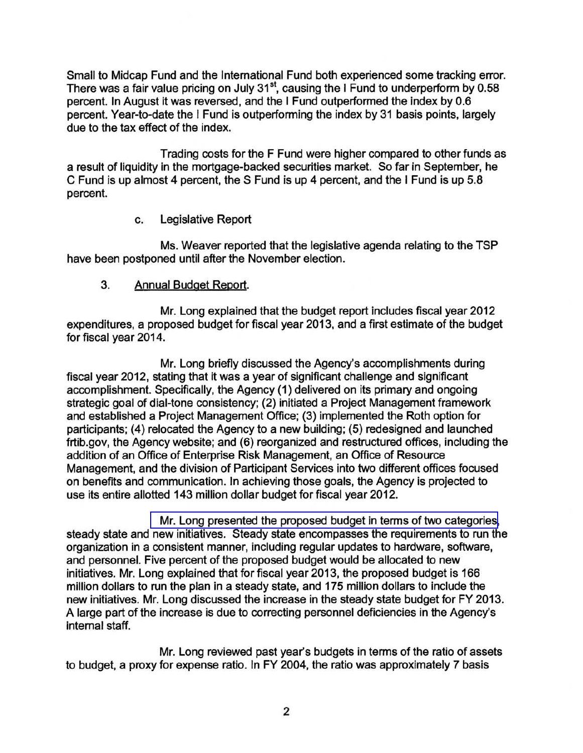Small to Midcap Fund and the International Fund both experienced some tracking error. There was a fair value pricing on July 31<sup>st</sup>, causing the I Fund to underperform by 0.58 percent. In August it was reversed, and the I Fund outperformed the index by 0.6 percent. Year-to-date the I Fund is outperforming the index by 31 basis points, largely due to the tax effect of the index.

Trading costs for the F Fund were higher compared to other funds as a result of liquidity in the mortgage-backed securities market. So far in September, he C Fund is up almost 4 percent, the S Fund is up 4 percent, and the I Fund is up 5.8 percent.

## c. Legislative Report

Ms. Weaver reported that the legislative agenda relating to the TSP have been postponed until after the November election.

## 3. Annual Budget Report.

Mr. Long explained that the budget report includes fiscal year 2012 expenditures, a proposed budget for fiscal year 2013, and a first estimate of the budget for fiscal year 2014.

Mr. Long briefly discussed the Agency's accomplishments during fiscal year 2012, stating that it was a year of significant challenge and significant accomplishment. Specifically, the Agency (1) delivered on its primary and ongoing strategic goal of dial-tone consistency; (2) initiated a Project Management framework and established a Project Management Office; (3) implemented the Roth option for participants; (4) relocated the Agency to a new building; (5) redesigned and launched frtib.gov, the Agency website; and (6) reorganized and restructured offices, including the addition of an Office of Enterprise Risk Management, an Office of Resource Management, and the division of Participant Services into two different offices focused on benefits and communication. In achieving those goals, the Agency is projected to use its entire allotted 143 million dollar budget for fiscal year 2012.

[Mr. Long presented the proposed budget in terms of two categories,](http://www.frtib.gov/pdf/minutes/MM-2012Sep-Att3.pdf) steady state and new initiatives. Steady state encompasses the requirements to run the organization in a consistent manner, including regular updates to hardware, software, and personnel. Five percent of the proposed budget would be allocated to new initiatives. Mr. Long explained that for fiscal year 2013, the proposed budget is 166 million dollars to run the plan in a steady state, and 175 million dollars to include the new initiatives. Mr. Long discussed the increase in the steady state budget for FY 2013. A large part of the increase is due to correcting personnel deficiencies in the Agency's internal staff.

Mr. Long reviewed past year's budgets in terms of the ratio of assets to budget, a proxy for expense ratio. In FY 2004, the ratio was approximately 7 basis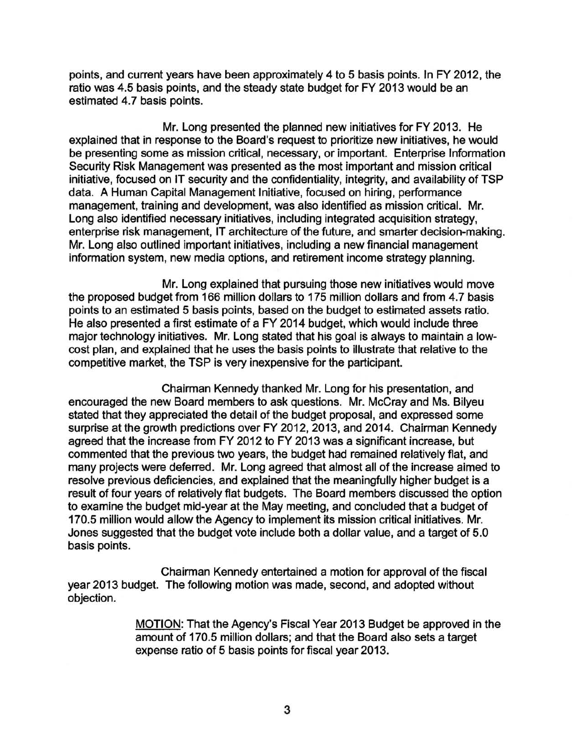points, and current years have been approximately 4 to 5 basis points. In FY 2012, the ratio was 4.5 basis points, and the steady state budget for FY 2013 would be an estimated 4.7 basis points.

Mr. Long presented the planned new initiatives for FY 2013. He explained that in response to the Board's request to prioritize new initiatives, he would be presenting some as mission critical, necessary, or important. Enterprise Information Security Risk Management was presented as the most important and mission critical initiative, focused on IT security and the confidentiality, integrity, and availability of TSP data. A Human Capital Management Initiative, focused on hiring, performance management, training and development, was also identified as mission critical. Mr. Long also identified necessary initiatives, including integrated acquisition strategy, enterprise risk management, IT architecture of the future, and smarter decision-making. Mr. Long also outlined important initiatives, including a new financial management information system, new media options, and retirement income strategy planning.

Mr. Long explained that pursuing those new initiatives would move the proposed budget from 166 million dollars to 175 million dollars and from 4.7 basis points to an estimated 5 basis points, based on the budget to estimated assets ratio. He also presented a first estimate of a FY 2014 budget, which would include three major technology initiatives. Mr. Long stated that his goal is always to maintain a lowcost plan, and explained that he uses the basis points to illustrate that relative to the competitive market, the TSP is very inexpensive for the participant.

Chairman Kennedy thanked Mr. Long for his presentation, and encouraged the new Board members to ask questions. Mr. McCray and Ms. Bilyeu stated that they appreciated the detail of the budget proposal, and expressed some surprise at the growth predictions over FY 2012, 2013, and 2014. Chairman Kennedy agreed that the increase from FY 2012 to FY 2013 was a significant increase, but commented that the previous two years, the budget had remained relatively flat, and many projects were deferred. Mr. Long agreed that almost all of the increase aimed to resolve previous deficiencies, and explained that the meaningfully higher budget is a result of four years of relatively flat budgets. The Board members discussed the option to examine the budget mid-year at the May meeting, and concluded that a budget of 170.5 million would allow the Agency to implement its mission critical initiatives. Mr. Jones suggested that the budget vote include both a dollar value, and a target of 5.0 basis points.

Chairman Kennedy entertained a motion for approval of the fiscal year 2013 budget. The following motion was made, second, and adopted without objection.

> MOTION: That the Agency's Fiscal Year 2013 Budget be approved in the amount of 170.5 million dollars; and that the Board also sets a target expense ratio of 5 basis points for fiscal year 2013.